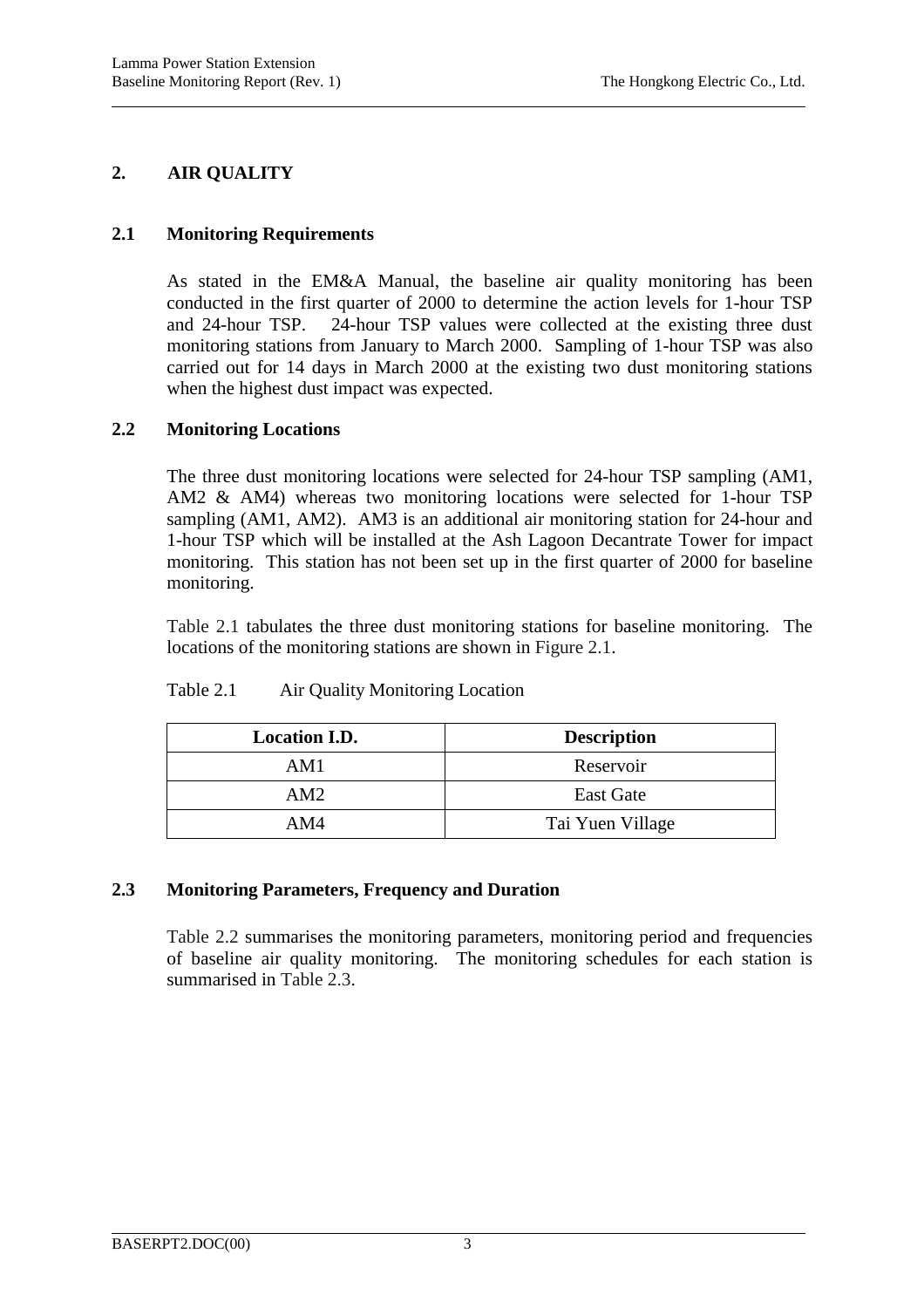# **2. AIR QUALITY**

l

# **2.1 Monitoring Requirements**

As stated in the EM&A Manual, the baseline air quality monitoring has been conducted in the first quarter of 2000 to determine the action levels for 1-hour TSP and 24-hour TSP. 24-hour TSP values were collected at the existing three dust monitoring stations from January to March 2000. Sampling of 1-hour TSP was also carried out for 14 days in March 2000 at the existing two dust monitoring stations when the highest dust impact was expected.

# **2.2 Monitoring Locations**

The three dust monitoring locations were selected for 24-hour TSP sampling (AM1, AM2 & AM4) whereas two monitoring locations were selected for 1-hour TSP sampling (AM1, AM2). AM3 is an additional air monitoring station for 24-hour and 1-hour TSP which will be installed at the Ash Lagoon Decantrate Tower for impact monitoring. This station has not been set up in the first quarter of 2000 for baseline monitoring.

Table 2.1 tabulates the three dust monitoring stations for baseline monitoring. The locations of the monitoring stations are shown in Figure 2.1.

| <b>Location I.D.</b> | <b>Description</b> |
|----------------------|--------------------|
| AM1                  | Reservoir          |
| AM2                  | <b>East Gate</b>   |
| AM4                  | Tai Yuen Village   |

### Table 2.1 Air Quality Monitoring Location

### **2.3 Monitoring Parameters, Frequency and Duration**

Table 2.2 summarises the monitoring parameters, monitoring period and frequencies of baseline air quality monitoring. The monitoring schedules for each station is summarised in Table 2.3.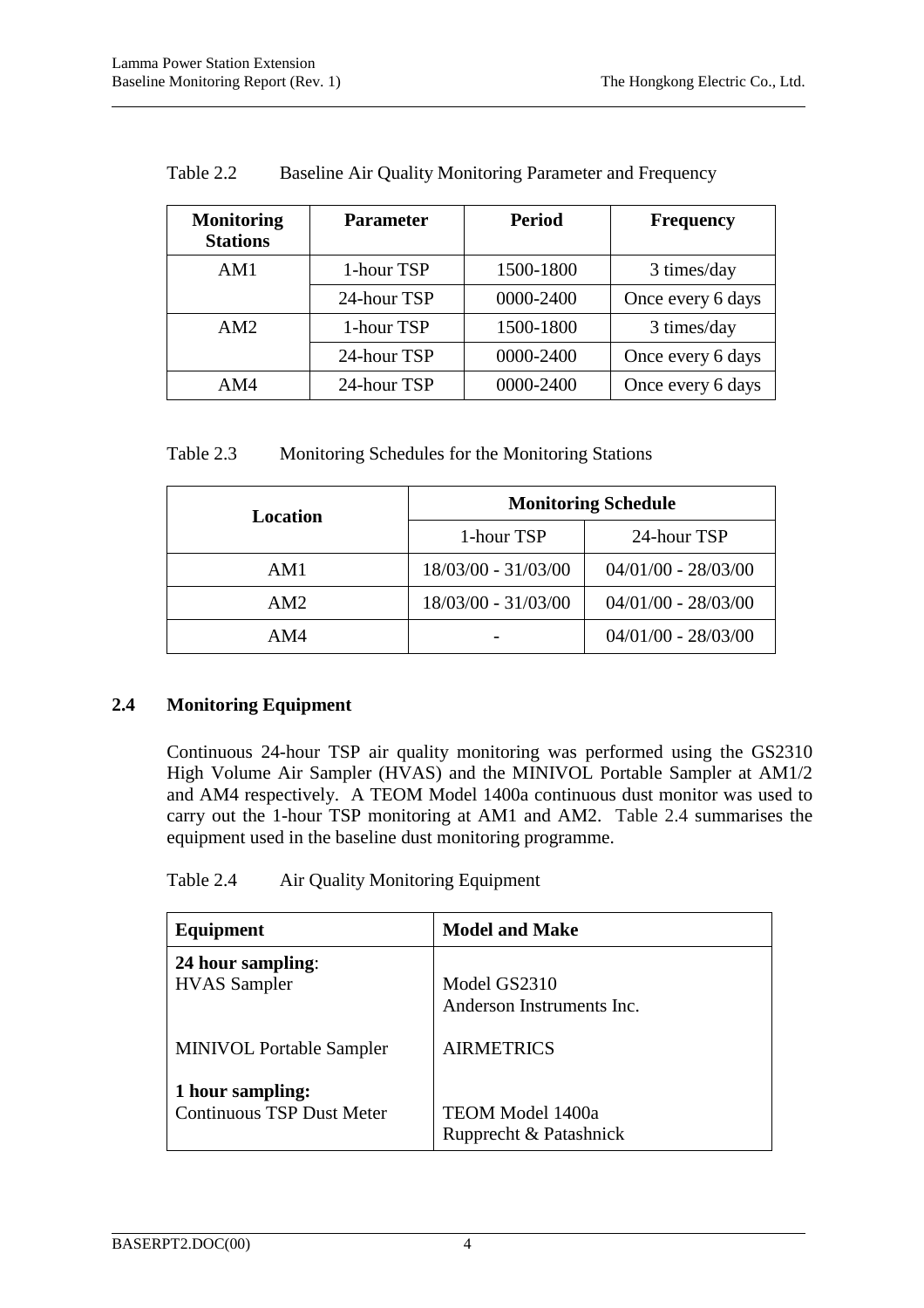| <b>Monitoring</b><br><b>Stations</b> | <b>Parameter</b> | <b>Period</b> | <b>Frequency</b>  |
|--------------------------------------|------------------|---------------|-------------------|
| AM1                                  | 1-hour TSP       | 1500-1800     | 3 times/day       |
|                                      | 24-hour TSP      | 0000-2400     | Once every 6 days |
| AM2                                  | 1-hour TSP       | 1500-1800     | 3 times/day       |
|                                      | 24-hour TSP      | 0000-2400     | Once every 6 days |
| AM4                                  | 24-hour TSP      | 0000-2400     | Once every 6 days |

Table 2.2 Baseline Air Quality Monitoring Parameter and Frequency

| Table 2.3 |                                                  |  |  |
|-----------|--------------------------------------------------|--|--|
|           | Monitoring Schedules for the Monitoring Stations |  |  |

| Location | <b>Monitoring Schedule</b> |                       |  |
|----------|----------------------------|-----------------------|--|
|          | 1-hour TSP                 | 24-hour TSP           |  |
| AM1      | 18/03/00 - 31/03/00        | $04/01/00 - 28/03/00$ |  |
| AM2      | 18/03/00 - 31/03/00        | $04/01/00 - 28/03/00$ |  |
| AM4      |                            | $04/01/00 - 28/03/00$ |  |

# **2.4 Monitoring Equipment**

Continuous 24-hour TSP air quality monitoring was performed using the GS2310 High Volume Air Sampler (HVAS) and the MINIVOL Portable Sampler at AM1/2 and AM4 respectively. A TEOM Model 1400a continuous dust monitor was used to carry out the 1-hour TSP monitoring at AM1 and AM2. Table 2.4 summarises the equipment used in the baseline dust monitoring programme.

| Equipment                        | <b>Model and Make</b>     |
|----------------------------------|---------------------------|
| 24 hour sampling:                | Model GS2310              |
| <b>HVAS</b> Sampler              | Anderson Instruments Inc. |
| <b>MINIVOL Portable Sampler</b>  | <b>AIRMETRICS</b>         |
| 1 hour sampling:                 | TEOM Model 1400a          |
| <b>Continuous TSP Dust Meter</b> | Rupprecht & Patashnick    |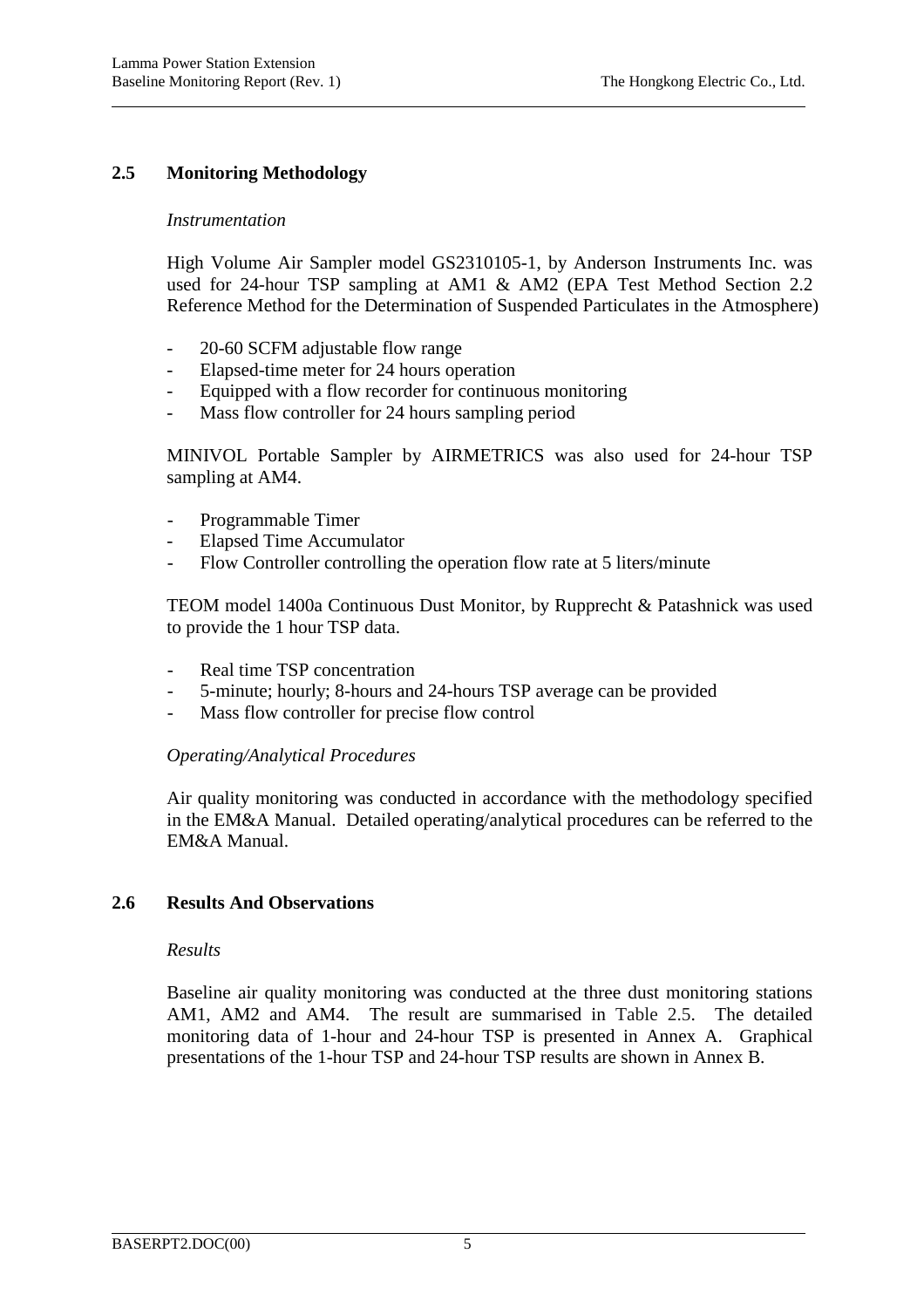# **2.5 Monitoring Methodology**

#### *Instrumentation*

High Volume Air Sampler model GS2310105-1, by Anderson Instruments Inc. was used for 24-hour TSP sampling at AM1 & AM2 (EPA Test Method Section 2.2 Reference Method for the Determination of Suspended Particulates in the Atmosphere)

- 20-60 SCFM adjustable flow range
- Elapsed-time meter for 24 hours operation
- Equipped with a flow recorder for continuous monitoring
- Mass flow controller for 24 hours sampling period

MINIVOL Portable Sampler by AIRMETRICS was also used for 24-hour TSP sampling at AM4.

- Programmable Timer
- Elapsed Time Accumulator
- Flow Controller controlling the operation flow rate at 5 liters/minute

TEOM model 1400a Continuous Dust Monitor, by Rupprecht & Patashnick was used to provide the 1 hour TSP data.

- Real time TSP concentration
- 5-minute; hourly; 8-hours and 24-hours TSP average can be provided
- Mass flow controller for precise flow control

### *Operating/Analytical Procedures*

Air quality monitoring was conducted in accordance with the methodology specified in the EM&A Manual. Detailed operating/analytical procedures can be referred to the EM&A Manual.

### **2.6 Results And Observations**

### *Results*

Baseline air quality monitoring was conducted at the three dust monitoring stations AM1, AM2 and AM4. The result are summarised in Table 2.5. The detailed monitoring data of 1-hour and 24-hour TSP is presented in Annex A. Graphical presentations of the 1-hour TSP and 24-hour TSP results are shown in Annex B.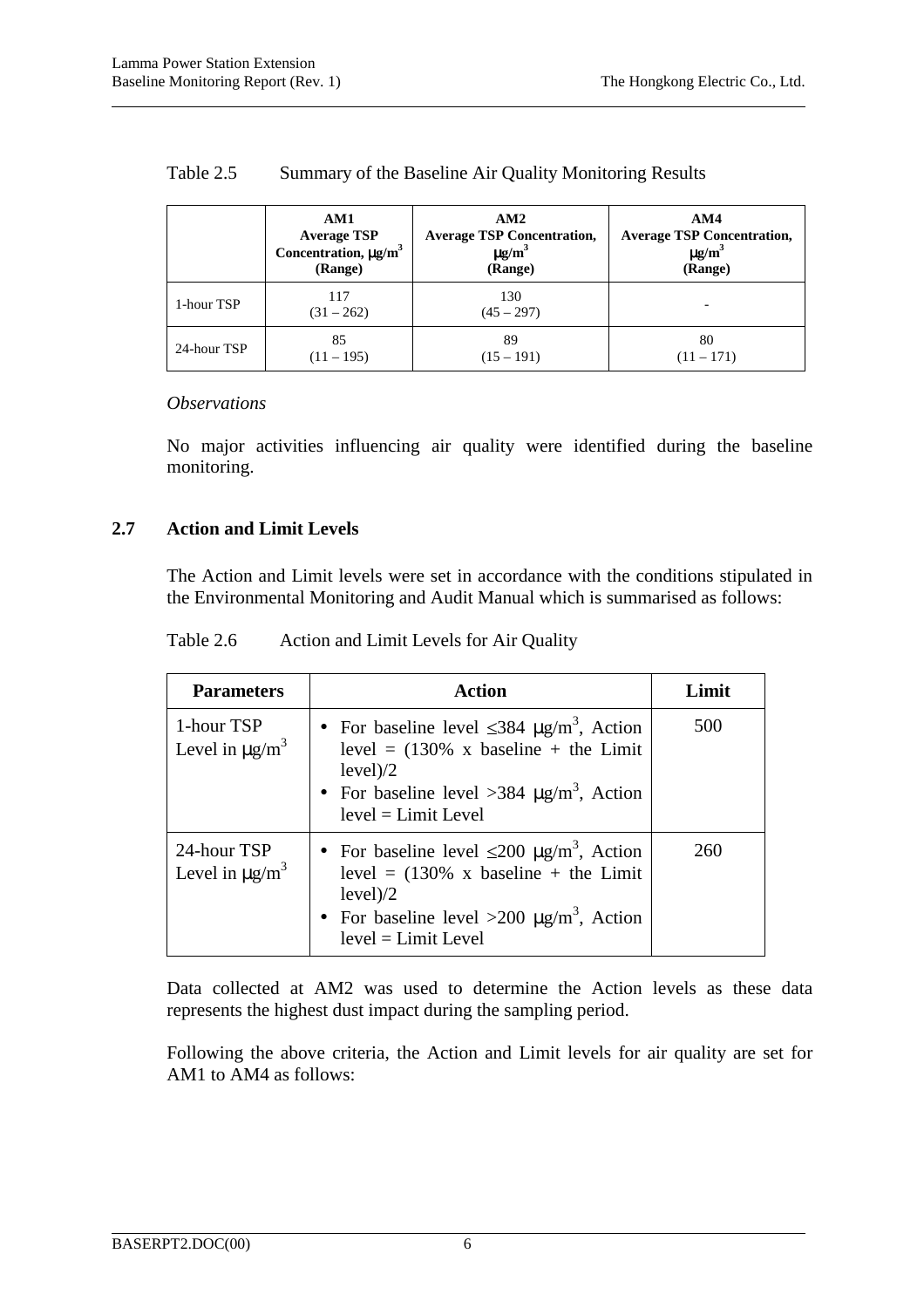|             | AM1                        | AM2                               | AM4                               |
|-------------|----------------------------|-----------------------------------|-----------------------------------|
|             | <b>Average TSP</b>         | <b>Average TSP Concentration,</b> | <b>Average TSP Concentration,</b> |
|             | Concentration, $\mu g/m^3$ | $\mu$ g/m <sup>3</sup>            | $\mu$ g/m <sup>3</sup>            |
|             | (Range)                    | (Range)                           | (Range)                           |
| 1-hour TSP  | 117<br>$(31 - 262)$        | 130<br>$(45 - 297)$               |                                   |
| 24-hour TSP | 85                         | 89                                | 80                                |
|             | $(11 - 195)$               | $(15 - 191)$                      | $(11 - 171)$                      |

### Table 2.5 Summary of the Baseline Air Quality Monitoring Results

#### *Observations*

No major activities influencing air quality were identified during the baseline monitoring.

### **2.7 Action and Limit Levels**

The Action and Limit levels were set in accordance with the conditions stipulated in the Environmental Monitoring and Audit Manual which is summarised as follows:

| <b>Parameters</b>                              | <b>Action</b>                                                                                                                                                                                                                     | Limit |
|------------------------------------------------|-----------------------------------------------------------------------------------------------------------------------------------------------------------------------------------------------------------------------------------|-------|
| 1-hour TSP<br>Level in $\mu$ g/m <sup>3</sup>  | • For baseline level $\leq 384 \text{ }\mu\text{g/m}^3$ , Action<br>level = $(130\% \times \text{baseline} + \text{the Limit})$<br>level)/2<br>• For baseline level >384 $\mu$ g/m <sup>3</sup> , Action<br>$level = Limit Level$ | 500   |
| 24-hour TSP<br>Level in $\mu$ g/m <sup>3</sup> | • For baseline level $\leq 200 \mu g/m^3$ , Action<br>level = $(130\% \times \text{baseline} + \text{the Limit})$<br>level)/2<br>• For baseline level $>200 \mu g/m^3$ , Action<br>$level = Limit Level$                          | 260   |

Data collected at AM2 was used to determine the Action levels as these data represents the highest dust impact during the sampling period.

Following the above criteria, the Action and Limit levels for air quality are set for AM1 to AM4 as follows: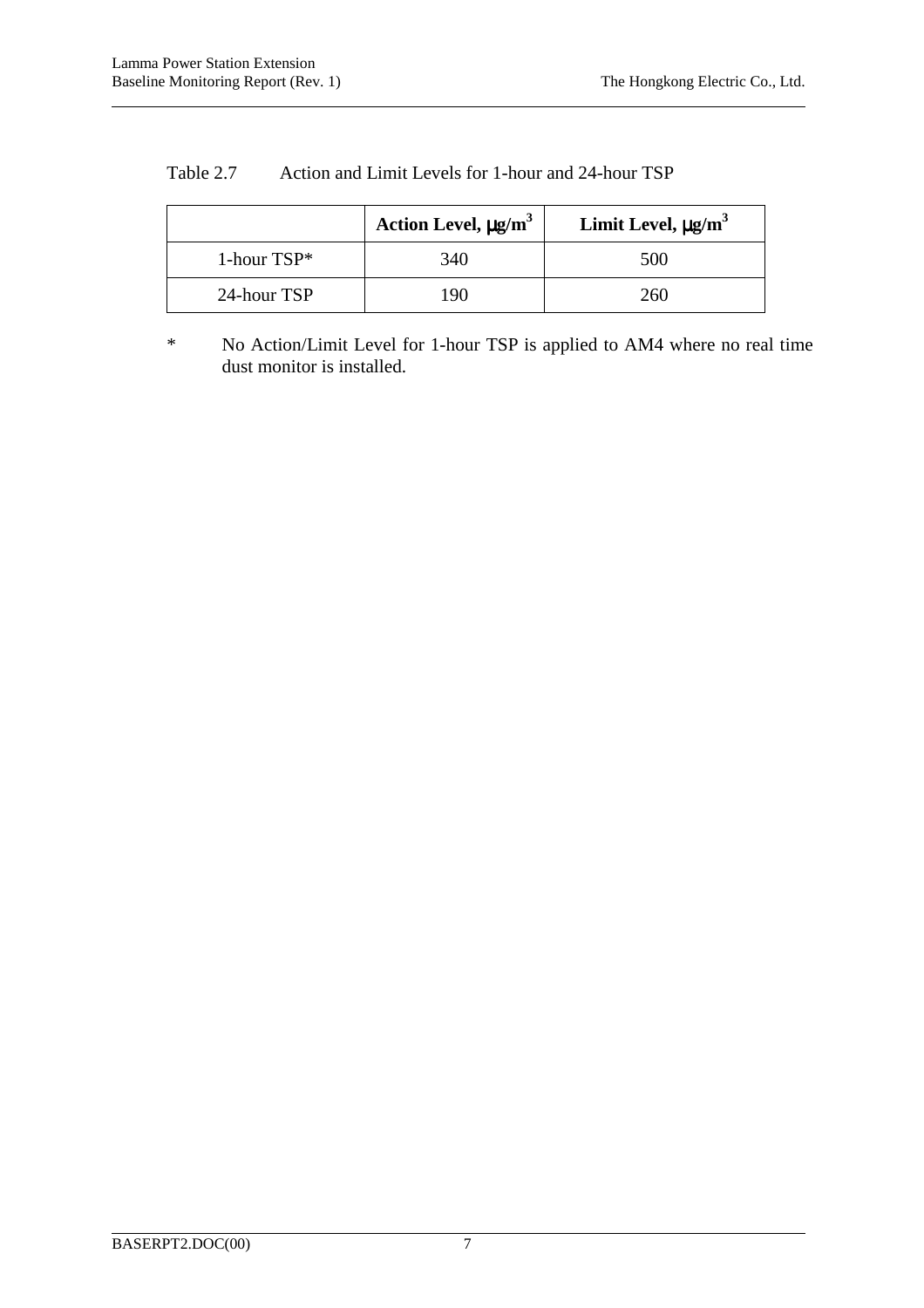|               | Action Level, $\mu$ g/m <sup>3</sup> | Limit Level, $\mu g/m^3$ |
|---------------|--------------------------------------|--------------------------|
| 1-hour $TSP*$ | 340                                  | 500                      |
| 24-hour TSP   | 190                                  | 260                      |

#### Table 2.7 Action and Limit Levels for 1-hour and 24-hour TSP

\* No Action/Limit Level for 1-hour TSP is applied to AM4 where no real time dust monitor is installed.